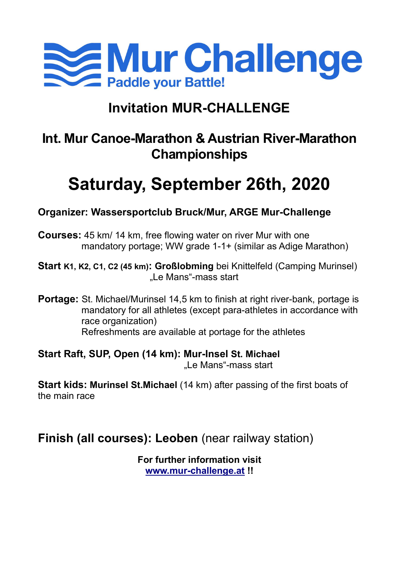

# Invitation MUR-CHALLENGE

# Int. Mur Canoe-Marathon & Austrian River-Marathon Championships

# Saturday, September 26th, 2020

# Organizer: Wassersportclub Bruck/Mur, ARGE Mur-Challenge

Courses: 45 km/ 14 km, free flowing water on river Mur with one mandatory portage; WW grade 1-1+ (similar as Adige Marathon)

Start K1, K2, C1, C2 (45 km): Großlobming bei Knittelfeld (Camping Murinsel) ..Le Mans"-mass start

**Portage:** St. Michael/Murinsel 14,5 km to finish at right river-bank, portage is mandatory for all athletes (except para-athletes in accordance with race organization) Refreshments are available at portage for the athletes

Start Raft, SUP, Open (14 km): Mur-Insel St. Michael ..Le Mans"-mass start

Start kids: Murinsel St.Michael (14 km) after passing of the first boats of the main race

# Finish (all courses): Leoben (near railway station)

For further information visit www.mur-challenge.at !!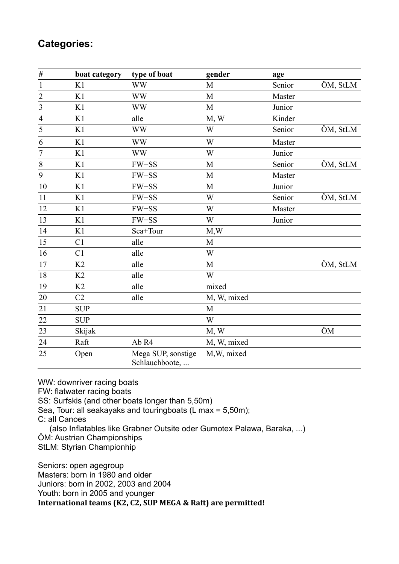# Categories:

| #                           | boat category  | type of boat                         | gender       | age    |          |
|-----------------------------|----------------|--------------------------------------|--------------|--------|----------|
| $\mathbf{1}$                | K1             | <b>WW</b>                            | M            | Senior | ÖM, StLM |
|                             | K1             | <b>WW</b>                            | M            | Master |          |
| $\frac{2}{3}$ $\frac{3}{4}$ | K1             | <b>WW</b>                            | M            | Junior |          |
|                             | K1             | alle                                 | M, W         | Kinder |          |
| $\overline{5}$              | K1             | <b>WW</b>                            | W            | Senior | ÖM, StLM |
| 6                           | K1             | <b>WW</b>                            | W            | Master |          |
| $\overline{7}$              | K1             | <b>WW</b>                            | W            | Junior |          |
| $\,$ $\,$                   | K1             | $FW+SS$                              | M            | Senior | ÖM, StLM |
| 9                           | K1             | FW+SS                                | $\mathbf{M}$ | Master |          |
| 10                          | K1             | FW+SS                                | M            | Junior |          |
| 11                          | K1             | FW+SS                                | W            | Senior | ÖM, StLM |
| 12                          | K1             | FW+SS                                | W            | Master |          |
| 13                          | K1             | FW+SS                                | W            | Junior |          |
| 14                          | K1             | Sea+Tour                             | M,W          |        |          |
| 15                          | C1             | alle                                 | M            |        |          |
| 16                          | C1             | alle                                 | W            |        |          |
| 17                          | K <sub>2</sub> | alle                                 | M            |        | ÖM, StLM |
| 18                          | K2             | alle                                 | W            |        |          |
| 19                          | K <sub>2</sub> | alle                                 | mixed        |        |          |
| 20                          | C2             | alle                                 | M, W, mixed  |        |          |
| 21                          | <b>SUP</b>     |                                      | $\mathbf M$  |        |          |
| 22                          | <b>SUP</b>     |                                      | W            |        |          |
| 23                          | Skijak         |                                      | M, W         |        | ÖM       |
| 24                          | Raft           | Ab R4                                | M, W, mixed  |        |          |
| 25                          | Open           | Mega SUP, sonstige<br>Schlauchboote, | M, W, mixed  |        |          |

WW: downriver racing boats FW: flatwater racing boats SS: Surfskis (and other boats longer than 5,50m) Sea, Tour: all seakayaks and touringboats (L max = 5,50m); C: all Canoes (also Inflatables like Grabner Outsite oder Gumotex Palawa, Baraka, ...) ÖM: Austrian Championships StLM: Styrian Championhip

Seniors: open agegroup Masters: born in 1980 and older Juniors: born in 2002, 2003 and 2004 Youth: born in 2005 and younger International teams (K2, C2, SUP MEGA & Raft) are permitted!